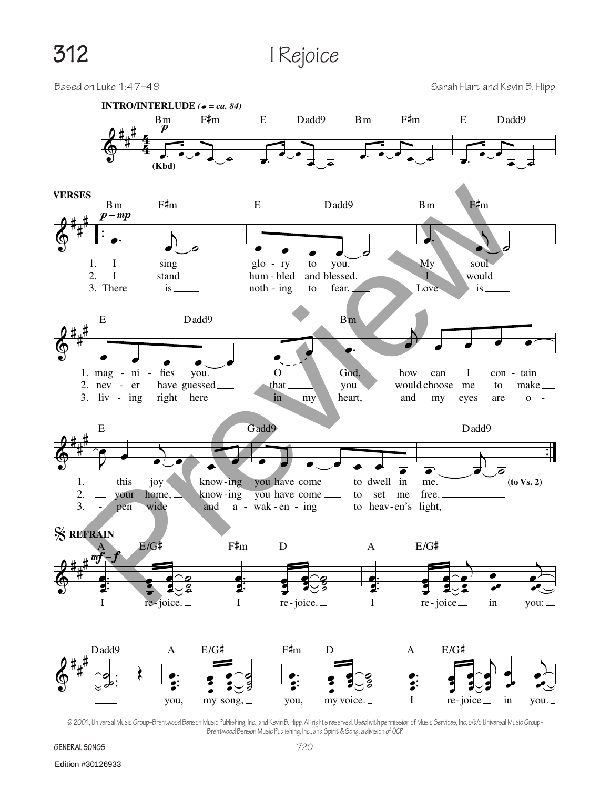**312** I Rejoice



© 2001, Universal Music Group–Brentwood Benson Music Publishing, Inc., and Kevin B. Hipp. All rights reserved. Used with permission of Music Services, Inc. o/b/o Universal Music Group– Brentwood Benson Music Publishing, Inc., and Spirit & Song, a division of OCP.